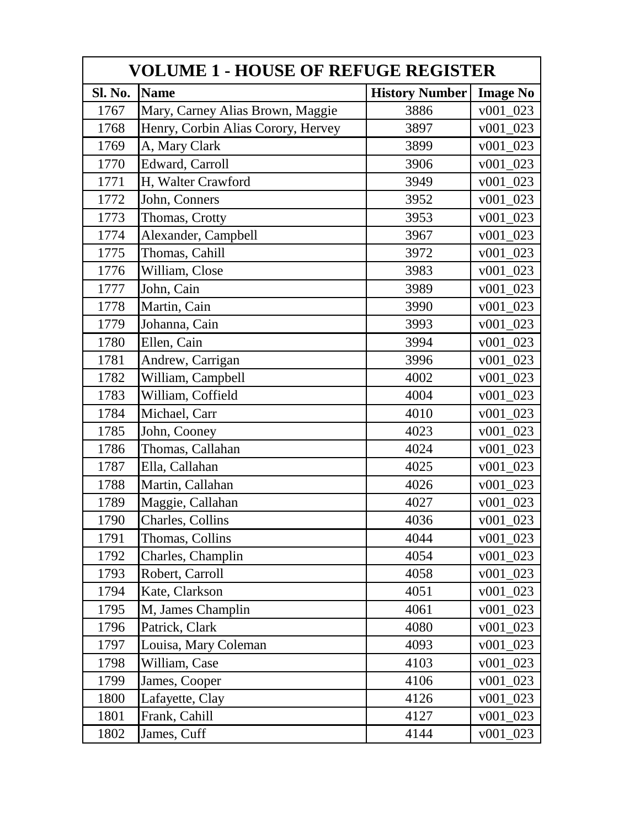| <b>VOLUME 1 - HOUSE OF REFUGE REGISTER</b> |                                    |                       |                 |  |
|--------------------------------------------|------------------------------------|-----------------------|-----------------|--|
| Sl. No.                                    | <b>Name</b>                        | <b>History Number</b> | <b>Image No</b> |  |
| 1767                                       | Mary, Carney Alias Brown, Maggie   | 3886                  | $v001_023$      |  |
| 1768                                       | Henry, Corbin Alias Corory, Hervey | 3897                  | $v001_023$      |  |
| 1769                                       | A, Mary Clark                      | 3899                  | v001 023        |  |
| 1770                                       | Edward, Carroll                    | 3906                  | $v001_023$      |  |
| 1771                                       | H, Walter Crawford                 | 3949                  | $v001_023$      |  |
| 1772                                       | John, Conners                      | 3952                  | v001 023        |  |
| 1773                                       | Thomas, Crotty                     | 3953                  | $v001_023$      |  |
| 1774                                       | Alexander, Campbell                | 3967                  | $v001_023$      |  |
| 1775                                       | Thomas, Cahill                     | 3972                  | $v001_023$      |  |
| 1776                                       | William, Close                     | 3983                  | $v001_023$      |  |
| 1777                                       | John, Cain                         | 3989                  | $v001_023$      |  |
| 1778                                       | Martin, Cain                       | 3990                  | $v001_023$      |  |
| 1779                                       | Johanna, Cain                      | 3993                  | $v001_023$      |  |
| 1780                                       | Ellen, Cain                        | 3994                  | $v001_023$      |  |
| 1781                                       | Andrew, Carrigan                   | 3996                  | $v001_023$      |  |
| 1782                                       | William, Campbell                  | 4002                  | $v001_023$      |  |
| 1783                                       | William, Coffield                  | 4004                  | $v001_023$      |  |
| 1784                                       | Michael, Carr                      | 4010                  | v001 023        |  |
| 1785                                       | John, Cooney                       | 4023                  | $v001_023$      |  |
| 1786                                       | Thomas, Callahan                   | 4024                  | $v001_023$      |  |
| 1787                                       | Ella, Callahan                     | 4025                  | $v001_023$      |  |
| 1788                                       | Martin, Callahan                   | 4026                  | $v001_023$      |  |
| 1789                                       | Maggie, Callahan                   | 4027                  | $v001_023$      |  |
| 1790                                       | Charles, Collins                   | 4036                  | $v001_023$      |  |
| 1791                                       | Thomas, Collins                    | 4044                  | $v001_023$      |  |
| 1792                                       | Charles, Champlin                  | 4054                  | $v001_023$      |  |
| 1793                                       | Robert, Carroll                    | 4058                  | $v001_023$      |  |
| 1794                                       | Kate, Clarkson                     | 4051                  | $v001_023$      |  |
| 1795                                       | M, James Champlin                  | 4061                  | $v001_023$      |  |
| 1796                                       | Patrick, Clark                     | 4080                  | $v001_023$      |  |
| 1797                                       | Louisa, Mary Coleman               | 4093                  | $v001_023$      |  |
| 1798                                       | William, Case                      | 4103                  | v001 023        |  |
| 1799                                       | James, Cooper                      | 4106                  | $v001_023$      |  |
| 1800                                       | Lafayette, Clay                    | 4126                  | $v001\_023$     |  |
| 1801                                       | Frank, Cahill                      | 4127                  | $v001\_023$     |  |
| 1802                                       | James, Cuff                        | 4144                  | $v001_023$      |  |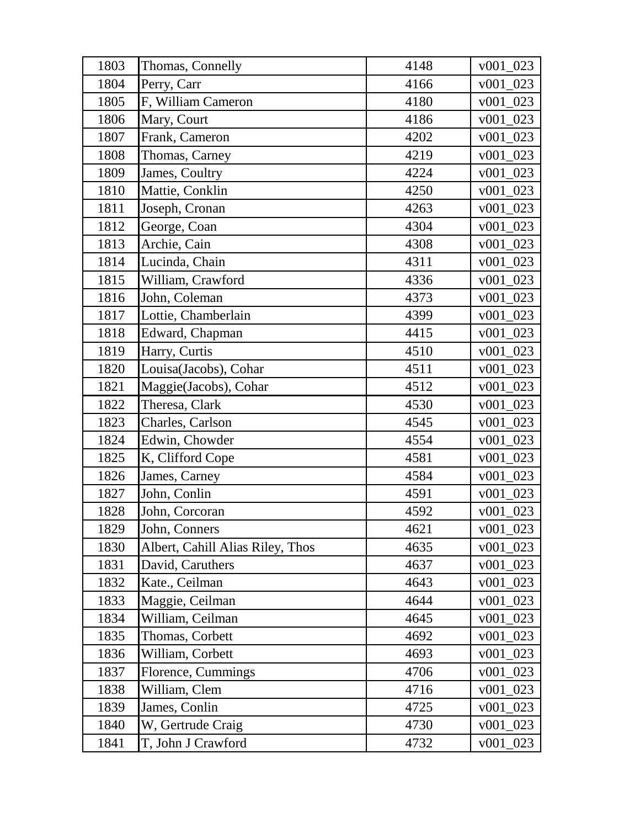| 1803 | Thomas, Connelly                 | 4148 | $v001\_023$        |
|------|----------------------------------|------|--------------------|
| 1804 | Perry, Carr                      | 4166 | $v001\_023$        |
| 1805 | F, William Cameron               | 4180 | $v001_023$         |
| 1806 | Mary, Court                      | 4186 | $v001_023$         |
| 1807 | Frank, Cameron                   | 4202 | v001 023           |
| 1808 | Thomas, Carney                   | 4219 | $v001\_023$        |
| 1809 | James, Coultry                   | 4224 | $v001\_023$        |
| 1810 | Mattie, Conklin                  | 4250 | v001 023           |
| 1811 | Joseph, Cronan                   | 4263 | v001 023           |
| 1812 | George, Coan                     | 4304 | $v001\_023$        |
| 1813 | Archie, Cain                     | 4308 | $v001_023$         |
| 1814 | Lucinda, Chain                   | 4311 | $v001\_023$        |
| 1815 | William, Crawford                | 4336 | $v001_023$         |
| 1816 | John, Coleman                    | 4373 | $v001_023$         |
| 1817 | Lottie, Chamberlain              | 4399 | $v001_023$         |
| 1818 | Edward, Chapman                  | 4415 | $v001_023$         |
| 1819 | Harry, Curtis                    | 4510 | $\frac{v001}{023}$ |
| 1820 | Louisa(Jacobs), Cohar            | 4511 | $v001_023$         |
| 1821 | Maggie(Jacobs), Cohar            | 4512 | $v001_023$         |
| 1822 | Theresa, Clark                   | 4530 | $v001\_023$        |
| 1823 | Charles, Carlson                 | 4545 | $v001_023$         |
| 1824 | Edwin, Chowder                   | 4554 | $v001_023$         |
| 1825 | K, Clifford Cope                 | 4581 | $v001\_023$        |
| 1826 | James, Carney                    | 4584 | $v001_023$         |
| 1827 | John, Conlin                     | 4591 | $v001_023$         |
| 1828 | John, Corcoran                   | 4592 | $v001_023$         |
| 1829 | John, Conners                    | 4621 | $v001\_023$        |
| 1830 | Albert, Cahill Alias Riley, Thos | 4635 | $v001_023$         |
| 1831 | David, Caruthers                 | 4637 | $v001_023$         |
| 1832 | Kate., Ceilman                   | 4643 | $v001_023$         |
| 1833 | Maggie, Ceilman                  | 4644 | v001 023           |
| 1834 | William, Ceilman                 | 4645 | $v001\_023$        |
| 1835 | Thomas, Corbett                  | 4692 | $v001_023$         |
| 1836 | William, Corbett                 | 4693 | $v001_023$         |
| 1837 | Florence, Cummings               | 4706 | v001 023           |
| 1838 | William, Clem                    | 4716 | $v001_023$         |
| 1839 | James, Conlin                    | 4725 | $v001_023$         |
| 1840 | W, Gertrude Craig                | 4730 | $v001_023$         |
| 1841 | T, John J Crawford               | 4732 | $v001_023$         |